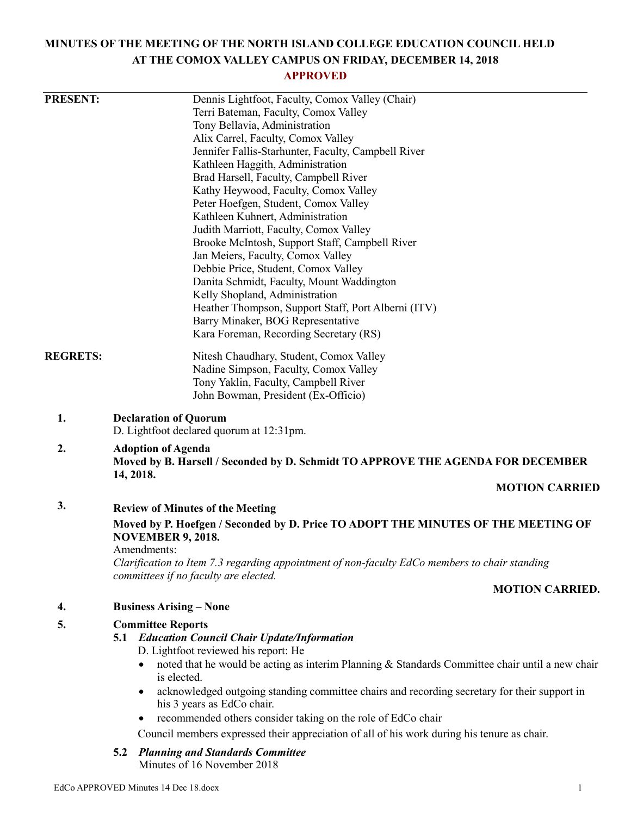# **MINUTES OF THE MEETING OF THE NORTH ISLAND COLLEGE EDUCATION COUNCIL HELD AT THE COMOX VALLEY CAMPUS ON FRIDAY, DECEMBER 14, 2018**

# **APPROVED**

| <b>PRESENT:</b> | Dennis Lightfoot, Faculty, Comox Valley (Chair)                                                                                                       |                                         |  |
|-----------------|-------------------------------------------------------------------------------------------------------------------------------------------------------|-----------------------------------------|--|
|                 | Terri Bateman, Faculty, Comox Valley                                                                                                                  |                                         |  |
|                 | Tony Bellavia, Administration                                                                                                                         |                                         |  |
|                 | Alix Carrel, Faculty, Comox Valley                                                                                                                    |                                         |  |
|                 | Jennifer Fallis-Starhunter, Faculty, Campbell River                                                                                                   |                                         |  |
|                 | Kathleen Haggith, Administration                                                                                                                      |                                         |  |
|                 | Brad Harsell, Faculty, Campbell River                                                                                                                 |                                         |  |
|                 | Kathy Heywood, Faculty, Comox Valley                                                                                                                  |                                         |  |
|                 | Peter Hoefgen, Student, Comox Valley                                                                                                                  |                                         |  |
|                 | Kathleen Kuhnert, Administration                                                                                                                      |                                         |  |
|                 | Judith Marriott, Faculty, Comox Valley                                                                                                                |                                         |  |
|                 | Brooke McIntosh, Support Staff, Campbell River<br>Jan Meiers, Faculty, Comox Valley                                                                   |                                         |  |
|                 | Debbie Price, Student, Comox Valley                                                                                                                   |                                         |  |
|                 | Danita Schmidt, Faculty, Mount Waddington                                                                                                             |                                         |  |
|                 | Kelly Shopland, Administration                                                                                                                        |                                         |  |
|                 | Heather Thompson, Support Staff, Port Alberni (ITV)                                                                                                   |                                         |  |
|                 | Barry Minaker, BOG Representative                                                                                                                     |                                         |  |
|                 | Kara Foreman, Recording Secretary (RS)                                                                                                                |                                         |  |
| <b>REGRETS:</b> | Nitesh Chaudhary, Student, Comox Valley                                                                                                               |                                         |  |
|                 | Nadine Simpson, Faculty, Comox Valley                                                                                                                 |                                         |  |
|                 | Tony Yaklin, Faculty, Campbell River                                                                                                                  |                                         |  |
|                 | John Bowman, President (Ex-Officio)                                                                                                                   |                                         |  |
| 1.              | <b>Declaration of Quorum</b>                                                                                                                          |                                         |  |
|                 | D. Lightfoot declared quorum at 12:31pm.                                                                                                              |                                         |  |
| 2.              | <b>Adoption of Agenda</b><br>Moved by B. Harsell / Seconded by D. Schmidt TO APPROVE THE AGENDA FOR DECEMBER<br>14, 2018.                             |                                         |  |
|                 |                                                                                                                                                       |                                         |  |
|                 | 3.                                                                                                                                                    | <b>Review of Minutes of the Meeting</b> |  |
|                 | Moved by P. Hoefgen / Seconded by D. Price TO ADOPT THE MINUTES OF THE MEETING OF<br><b>NOVEMBER 9, 2018.</b>                                         |                                         |  |
|                 | Amendments:<br>Clarification to Item 7.3 regarding appointment of non-faculty EdCo members to chair standing<br>committees if no faculty are elected. |                                         |  |
|                 | <b>MOTION CARRIED.</b>                                                                                                                                |                                         |  |
| 4.              | <b>Business Arising – None</b>                                                                                                                        |                                         |  |
| 5.              | <b>Committee Reports</b>                                                                                                                              |                                         |  |
|                 | <b>Education Council Chair Update/Information</b><br>5.1<br>D. Lightfoot reviewed his report: He                                                      |                                         |  |
|                 | noted that he would be acting as interim Planning & Standards Committee chair until a new chair                                                       |                                         |  |
|                 | is elected.                                                                                                                                           |                                         |  |
|                 | acknowledged outgoing standing committee chairs and recording secretary for their support in                                                          |                                         |  |
|                 | his 3 years as EdCo chair.                                                                                                                            |                                         |  |
|                 | recommended others consider taking on the role of EdCo chair                                                                                          |                                         |  |
|                 | Council members expressed their appreciation of all of his work during his tenure as chair.                                                           |                                         |  |
|                 | <b>Planning and Standards Committee</b><br>5.2<br>Minutes of 16 November 2018                                                                         |                                         |  |
|                 |                                                                                                                                                       |                                         |  |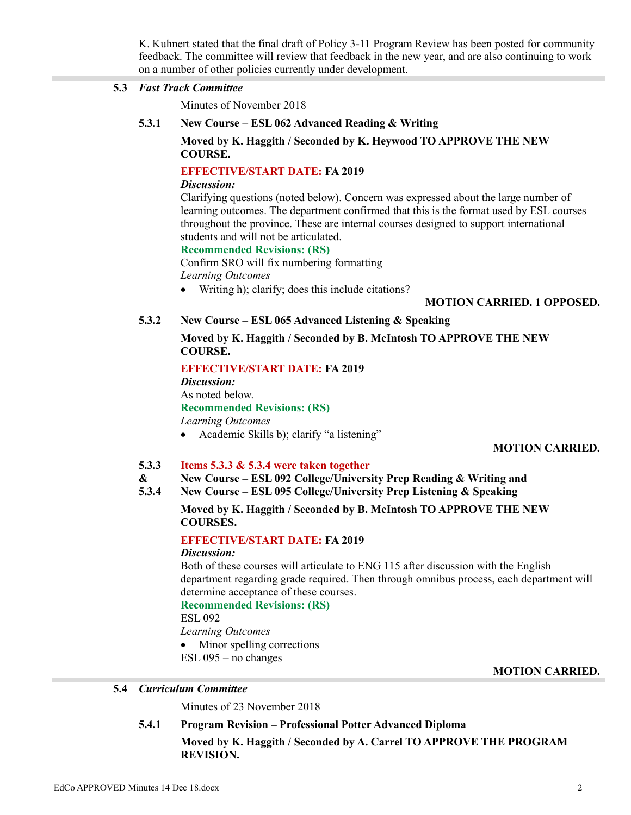K. Kuhnert stated that the final draft of Policy 3-11 Program Review has been posted for community feedback. The committee will review that feedback in the new year, and are also continuing to work on a number of other policies currently under development.

#### **5.3** *Fast Track Committee*

Minutes of November 2018

**5.3.1 New Course – ESL 062 Advanced Reading & Writing**

# **Moved by K. Haggith / Seconded by K. Heywood TO APPROVE THE NEW COURSE.**

# **EFFECTIVE/START DATE: FA 2019**

# *Discussion:*

Clarifying questions (noted below). Concern was expressed about the large number of learning outcomes. The department confirmed that this is the format used by ESL courses throughout the province. These are internal courses designed to support international students and will not be articulated.

# **Recommended Revisions: (RS)**

Confirm SRO will fix numbering formatting

*Learning Outcomes*

Writing h); clarify; does this include citations?

# **MOTION CARRIED. 1 OPPOSED.**

# **5.3.2 New Course – ESL 065 Advanced Listening & Speaking**

# **Moved by K. Haggith / Seconded by B. McIntosh TO APPROVE THE NEW COURSE.**

# **EFFECTIVE/START DATE: FA 2019**

*Discussion:* As noted below. **Recommended Revisions: (RS)** *Learning Outcomes*

Academic Skills b); clarify "a listening"

# **MOTION CARRIED.**

#### **5.3.3 Items 5.3.3 & 5.3.4 were taken together**

- **& New Course – ESL 092 College/University Prep Reading & Writing and**
- **5.3.4 New Course – ESL 095 College/University Prep Listening & Speaking**

# **Moved by K. Haggith / Seconded by B. McIntosh TO APPROVE THE NEW COURSES.**

# **EFFECTIVE/START DATE: FA 2019**

*Discussion:*

Both of these courses will articulate to ENG 115 after discussion with the English department regarding grade required. Then through omnibus process, each department will determine acceptance of these courses.

# **Recommended Revisions: (RS)**

ESL 092

*Learning Outcomes* • Minor spelling corrections

ESL 095 – no changes

# **MOTION CARRIED.**

# **5.4** *Curriculum Committee*

Minutes of 23 November 2018

# **5.4.1 Program Revision – Professional Potter Advanced Diploma**

**Moved by K. Haggith / Seconded by A. Carrel TO APPROVE THE PROGRAM REVISION.**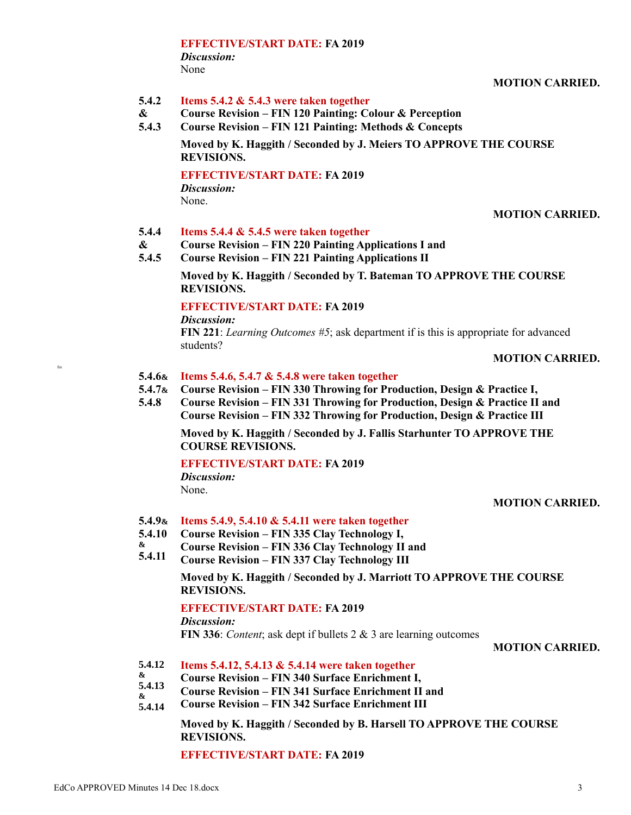#### **EFFECTIVE/START DATE: FA 2019** *Discussion:*

None

**MOTION CARRIED.**

#### **5.4.2 Items 5.4.2 & 5.4.3 were taken together**

- **& Course Revision – FIN 120 Painting: Colour & Perception**
- **5.4.3 Course Revision – FIN 121 Painting: Methods & Concepts**

**Moved by K. Haggith / Seconded by J. Meiers TO APPROVE THE COURSE REVISIONS.**

# **EFFECTIVE/START DATE: FA 2019**

*Discussion:* None.

# **MOTION CARRIED.**

- **5.4.4 Items 5.4.4 & 5.4.5 were taken together**
- **& Course Revision – FIN 220 Painting Applications I and**
- **5.4.5 Course Revision – FIN 221 Painting Applications II**

**Moved by K. Haggith / Seconded by T. Bateman TO APPROVE THE COURSE REVISIONS.**

# **EFFECTIVE/START DATE: FA 2019**

*Discussion:*

fin

**FIN 221**: *Learning Outcomes #5*; ask department if is this is appropriate for advanced students?

# **MOTION CARRIED.**

- **5.4.6& Items 5.4.6, 5.4.7 & 5.4.8 were taken together**
- **5.4.7& Course Revision – FIN 330 Throwing for Production, Design & Practice I,**
- **5.4.8 Course Revision – FIN 331 Throwing for Production, Design & Practice II and Course Revision – FIN 332 Throwing for Production, Design & Practice III**

**Moved by K. Haggith / Seconded by J. Fallis Starhunter TO APPROVE THE COURSE REVISIONS.**

# **EFFECTIVE/START DATE: FA 2019**

*Discussion:* None.

# **MOTION CARRIED.**

# **5.4.9& Items 5.4.9, 5.4.10 & 5.4.11 were taken together**

- **5.4.10 Course Revision – FIN 335 Clay Technology I,**
- **& Course Revision – FIN 336 Clay Technology II and**
- **5.4.11 Course Revision – FIN 337 Clay Technology III**

**Moved by K. Haggith / Seconded by J. Marriott TO APPROVE THE COURSE REVISIONS.**

# **EFFECTIVE/START DATE: FA 2019**

*Discussion:*

**FIN 336**: *Content*; ask dept if bullets 2 & 3 are learning outcomes

# **MOTION CARRIED.**

- **5.4.12 Items 5.4.12, 5.4.13 & 5.4.14 were taken together**
- **& Course Revision – FIN 340 Surface Enrichment I,**
- **5.4.13 & Course Revision – FIN 341 Surface Enrichment II and**
- **5.4.14 Course Revision – FIN 342 Surface Enrichment III**

**Moved by K. Haggith / Seconded by B. Harsell TO APPROVE THE COURSE REVISIONS.**

**EFFECTIVE/START DATE: FA 2019**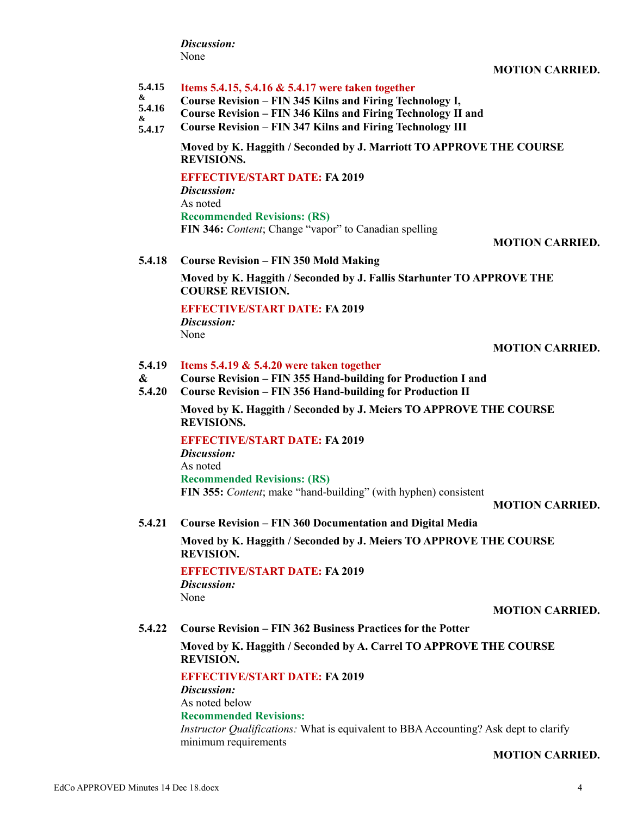*Discussion:* None

#### **5.4.15 Items 5.4.15, 5.4.16 & 5.4.17 were taken together**

- **& Course Revision – FIN 345 Kilns and Firing Technology I,**
- **5.4.16 & Course Revision – FIN 346 Kilns and Firing Technology II and**
- **5.4.17 Course Revision – FIN 347 Kilns and Firing Technology III**

**Moved by K. Haggith / Seconded by J. Marriott TO APPROVE THE COURSE REVISIONS.**

# **EFFECTIVE/START DATE: FA 2019**

*Discussion:* As noted **Recommended Revisions: (RS) FIN 346:** *Content*; Change "vapor" to Canadian spelling

#### **MOTION CARRIED.**

#### **5.4.18 Course Revision – FIN 350 Mold Making**

**Moved by K. Haggith / Seconded by J. Fallis Starhunter TO APPROVE THE COURSE REVISION.**

# **EFFECTIVE/START DATE: FA 2019**

*Discussion:* None

#### **MOTION CARRIED.**

#### **5.4.19 Items 5.4.19 & 5.4.20 were taken together**

- **& Course Revision – FIN 355 Hand-building for Production I and**
- **5.4.20 Course Revision – FIN 356 Hand-building for Production II**

**Moved by K. Haggith / Seconded by J. Meiers TO APPROVE THE COURSE REVISIONS.**

# **EFFECTIVE/START DATE: FA 2019**

*Discussion:* As noted **Recommended Revisions: (RS) FIN 355:** *Content*; make "hand-building" (with hyphen) consistent

#### **MOTION CARRIED.**

**5.4.21 Course Revision – FIN 360 Documentation and Digital Media**

**Moved by K. Haggith / Seconded by J. Meiers TO APPROVE THE COURSE REVISION.**

#### **EFFECTIVE/START DATE: FA 2019** *Discussion:*

None

#### **MOTION CARRIED.**

**5.4.22 Course Revision – FIN 362 Business Practices for the Potter**

#### **Moved by K. Haggith / Seconded by A. Carrel TO APPROVE THE COURSE REVISION.**

#### **EFFECTIVE/START DATE: FA 2019**

*Discussion:* As noted below **Recommended Revisions:**

*Instructor Qualifications:* What is equivalent to BBA Accounting? Ask dept to clarify minimum requirements

#### **MOTION CARRIED.**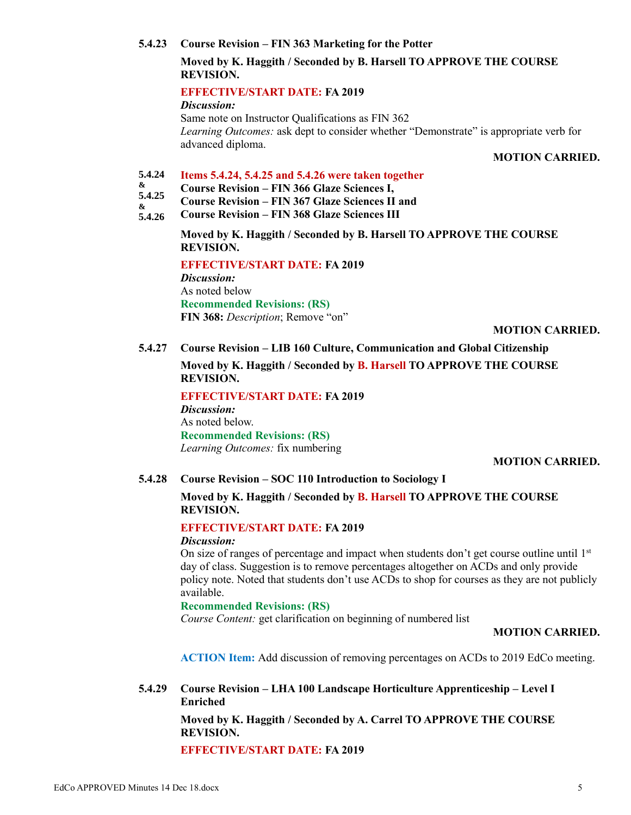#### **5.4.23 Course Revision – FIN 363 Marketing for the Potter**

# **Moved by K. Haggith / Seconded by B. Harsell TO APPROVE THE COURSE REVISION.**

# **EFFECTIVE/START DATE: FA 2019**

*Discussion:*

Same note on Instructor Qualifications as FIN 362 *Learning Outcomes:* ask dept to consider whether "Demonstrate" is appropriate verb for advanced diploma.

#### **MOTION CARRIED.**

#### **5.4.24 Items 5.4.24, 5.4.25 and 5.4.26 were taken together**

- **& Course Revision – FIN 366 Glaze Sciences I,**
- **5.4.25 & Course Revision – FIN 367 Glaze Sciences II and**
- **5.4.26 Course Revision – FIN 368 Glaze Sciences III**

**Moved by K. Haggith / Seconded by B. Harsell TO APPROVE THE COURSE REVISION.**

**EFFECTIVE/START DATE: FA 2019**

*Discussion:* As noted below **Recommended Revisions: (RS) FIN 368:** *Description*; Remove "on"

# **MOTION CARRIED.**

**5.4.27 Course Revision – LIB 160 Culture, Communication and Global Citizenship**

**Moved by K. Haggith / Seconded by B. Harsell TO APPROVE THE COURSE REVISION.**

**EFFECTIVE/START DATE: FA 2019** *Discussion:* As noted below. **Recommended Revisions: (RS)** *Learning Outcomes:* fix numbering

# **MOTION CARRIED.**

# **5.4.28 Course Revision – SOC 110 Introduction to Sociology I**

# **Moved by K. Haggith / Seconded by B. Harsell TO APPROVE THE COURSE REVISION.**

# **EFFECTIVE/START DATE: FA 2019**

#### *Discussion:*

On size of ranges of percentage and impact when students don't get course outline until  $1<sup>st</sup>$ day of class. Suggestion is to remove percentages altogether on ACDs and only provide policy note. Noted that students don't use ACDs to shop for courses as they are not publicly available.

# **Recommended Revisions: (RS)**

*Course Content:* get clarification on beginning of numbered list

#### **MOTION CARRIED.**

**ACTION Item:** Add discussion of removing percentages on ACDs to 2019 EdCo meeting.

**5.4.29 Course Revision – LHA 100 Landscape Horticulture Apprenticeship – Level I Enriched**

> **Moved by K. Haggith / Seconded by A. Carrel TO APPROVE THE COURSE REVISION.**

**EFFECTIVE/START DATE: FA 2019**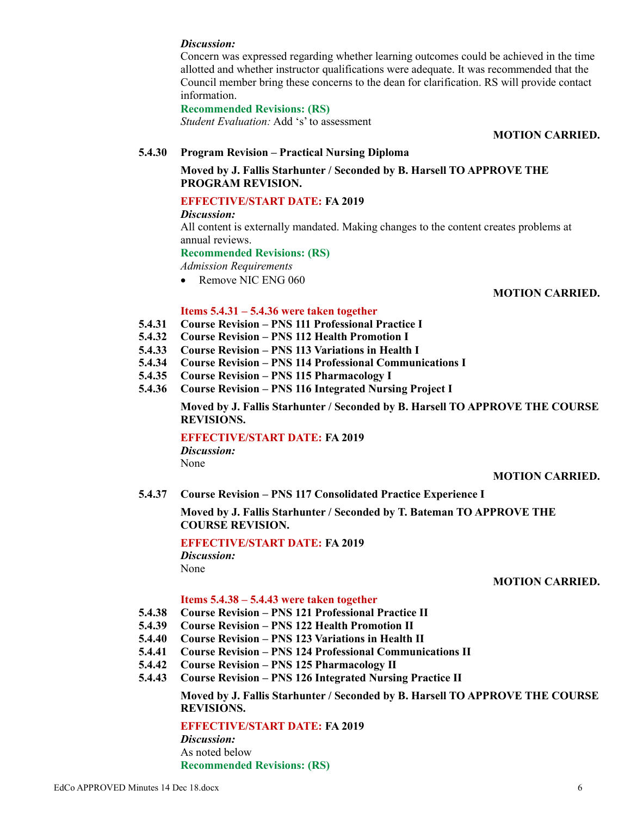#### *Discussion:*

Concern was expressed regarding whether learning outcomes could be achieved in the time allotted and whether instructor qualifications were adequate. It was recommended that the Council member bring these concerns to the dean for clarification. RS will provide contact information.

#### **Recommended Revisions: (RS)**

*Student Evaluation:* Add 's' to assessment

#### **MOTION CARRIED.**

# **5.4.30 Program Revision – Practical Nursing Diploma**

# **Moved by J. Fallis Starhunter / Seconded by B. Harsell TO APPROVE THE PROGRAM REVISION.**

# **EFFECTIVE/START DATE: FA 2019**

*Discussion:*

All content is externally mandated. Making changes to the content creates problems at annual reviews.

#### **Recommended Revisions: (RS)**

*Admission Requirements*

• Remove NIC ENG 060

#### **MOTION CARRIED.**

#### **Items 5.4.31 – 5.4.36 were taken together**

- **5.4.31 Course Revision – PNS 111 Professional Practice I**
- **5.4.32 Course Revision – PNS 112 Health Promotion I**
- **5.4.33 Course Revision – PNS 113 Variations in Health I**
- **5.4.34 Course Revision – PNS 114 Professional Communications I**
- **5.4.35 Course Revision – PNS 115 Pharmacology I**
- **5.4.36 Course Revision – PNS 116 Integrated Nursing Project I**

**Moved by J. Fallis Starhunter / Seconded by B. Harsell TO APPROVE THE COURSE REVISIONS.**

# **EFFECTIVE/START DATE: FA 2019**

*Discussion:* None

#### **MOTION CARRIED.**

**5.4.37 Course Revision – PNS 117 Consolidated Practice Experience I**

**Moved by J. Fallis Starhunter / Seconded by T. Bateman TO APPROVE THE COURSE REVISION.**

# **EFFECTIVE/START DATE: FA 2019**

*Discussion:* None

#### **MOTION CARRIED.**

#### **Items 5.4.38 – 5.4.43 were taken together**

- **5.4.38 Course Revision – PNS 121 Professional Practice II**
- **5.4.39 Course Revision – PNS 122 Health Promotion II**
- **5.4.40 Course Revision – PNS 123 Variations in Health II**
- **5.4.41 Course Revision – PNS 124 Professional Communications II**
- **5.4.42 Course Revision – PNS 125 Pharmacology II**
- **5.4.43 Course Revision – PNS 126 Integrated Nursing Practice II**

# **Moved by J. Fallis Starhunter / Seconded by B. Harsell TO APPROVE THE COURSE REVISIONS.**

**EFFECTIVE/START DATE: FA 2019**

*Discussion:* As noted below **Recommended Revisions: (RS)**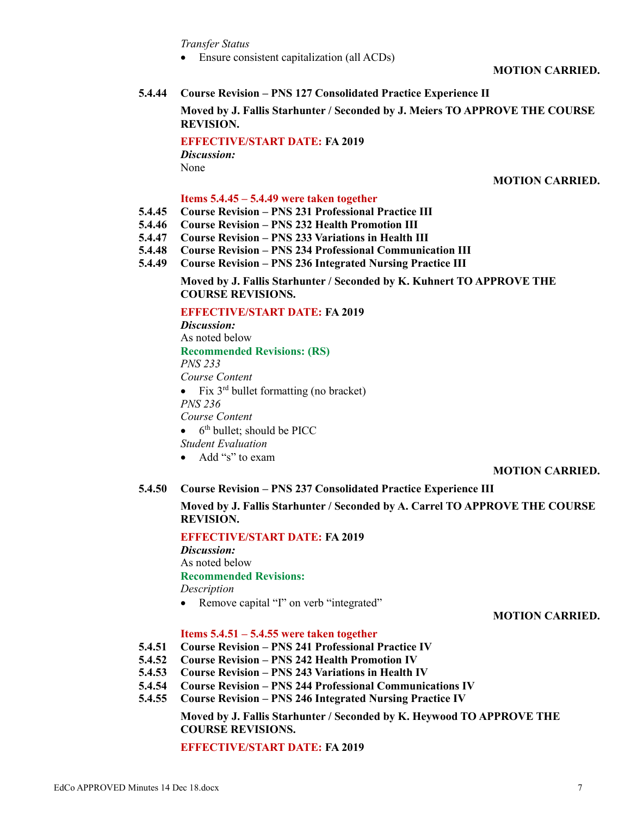*Transfer Status*

• Ensure consistent capitalization (all ACDs)

**MOTION CARRIED.**

#### **5.4.44 Course Revision – PNS 127 Consolidated Practice Experience II**

**Moved by J. Fallis Starhunter / Seconded by J. Meiers TO APPROVE THE COURSE REVISION.**

**EFFECTIVE/START DATE: FA 2019** *Discussion:* None

#### **MOTION CARRIED.**

#### **Items 5.4.45 – 5.4.49 were taken together**

- **5.4.45 Course Revision – PNS 231 Professional Practice III**
- **5.4.46 Course Revision – PNS 232 Health Promotion III**
- **5.4.47 Course Revision – PNS 233 Variations in Health III**
- **5.4.48 Course Revision – PNS 234 Professional Communication III**
- **5.4.49 Course Revision – PNS 236 Integrated Nursing Practice III**

**Moved by J. Fallis Starhunter / Seconded by K. Kuhnert TO APPROVE THE COURSE REVISIONS.**

# **EFFECTIVE/START DATE: FA 2019**

*Discussion:*

As noted below **Recommended Revisions: (RS)** *PNS 233 Course Content* • Fix  $3^{rd}$  bullet formatting (no bracket) *PNS 236 Course Content*  $\bullet$  6<sup>th</sup> bullet; should be PICC *Student Evaluation* Add "s" to exam

#### **MOTION CARRIED.**

#### **5.4.50 Course Revision – PNS 237 Consolidated Practice Experience III**

# **Moved by J. Fallis Starhunter / Seconded by A. Carrel TO APPROVE THE COURSE REVISION.**

**EFFECTIVE/START DATE: FA 2019** *Discussion:* As noted below **Recommended Revisions:**

*Description*

• Remove capital "I" on verb "integrated"

**MOTION CARRIED.**

#### **Items 5.4.51 – 5.4.55 were taken together**

- **5.4.51 Course Revision – PNS 241 Professional Practice IV**
- **5.4.52 Course Revision – PNS 242 Health Promotion IV**
- **5.4.53 Course Revision – PNS 243 Variations in Health IV**
- **5.4.54 Course Revision – PNS 244 Professional Communications IV**
- **5.4.55 Course Revision – PNS 246 Integrated Nursing Practice IV**

**Moved by J. Fallis Starhunter / Seconded by K. Heywood TO APPROVE THE COURSE REVISIONS.**

#### **EFFECTIVE/START DATE: FA 2019**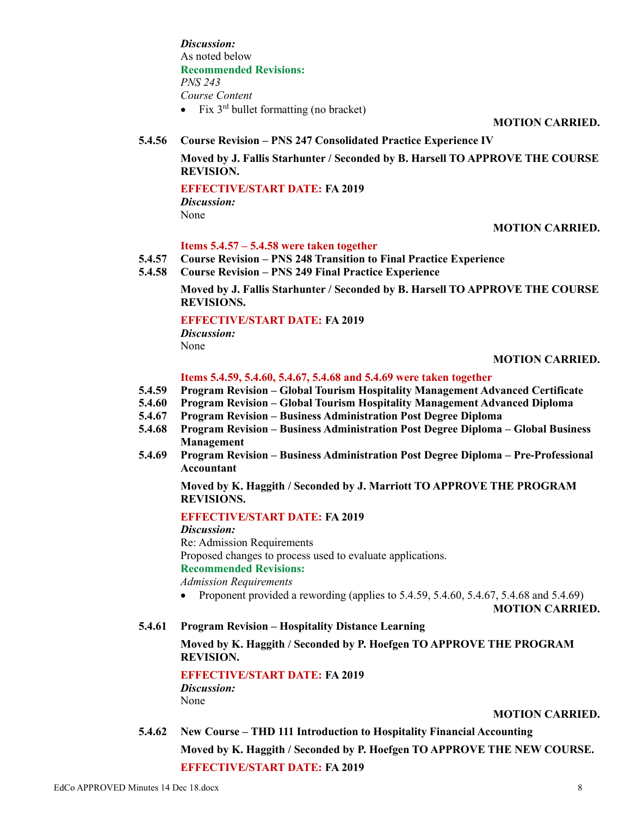*Discussion:* As noted below **Recommended Revisions:** *PNS 243 Course Content* • Fix  $3^{rd}$  bullet formatting (no bracket)

**MOTION CARRIED.**

**5.4.56 Course Revision – PNS 247 Consolidated Practice Experience IV**

**Moved by J. Fallis Starhunter / Seconded by B. Harsell TO APPROVE THE COURSE REVISION.**

# **EFFECTIVE/START DATE: FA 2019**

*Discussion:* None

# **MOTION CARRIED.**

# **Items 5.4.57 – 5.4.58 were taken together**

- **5.4.57 Course Revision – PNS 248 Transition to Final Practice Experience**
- **5.4.58 Course Revision – PNS 249 Final Practice Experience**

**Moved by J. Fallis Starhunter / Seconded by B. Harsell TO APPROVE THE COURSE REVISIONS.**

# **EFFECTIVE/START DATE: FA 2019**

*Discussion:*

None

#### **MOTION CARRIED.**

#### **Items 5.4.59, 5.4.60, 5.4.67, 5.4.68 and 5.4.69 were taken together**

- **5.4.59 Program Revision – Global Tourism Hospitality Management Advanced Certificate**
- **5.4.60 Program Revision – Global Tourism Hospitality Management Advanced Diploma**
- **5.4.67 Program Revision – Business Administration Post Degree Diploma**
- **5.4.68 Program Revision – Business Administration Post Degree Diploma – Global Business Management**
- **5.4.69 Program Revision – Business Administration Post Degree Diploma – Pre-Professional Accountant**

**Moved by K. Haggith / Seconded by J. Marriott TO APPROVE THE PROGRAM REVISIONS.**

# **EFFECTIVE/START DATE: FA 2019**

*Discussion:*

Re: Admission Requirements

Proposed changes to process used to evaluate applications.

# **Recommended Revisions:**

*Admission Requirements*

• Proponent provided a rewording (applies to  $5.4.59$ ,  $5.4.60$ ,  $5.4.67$ ,  $5.4.68$  and  $5.4.69$ )

**MOTION CARRIED.**

**5.4.61 Program Revision – Hospitality Distance Learning**

# **Moved by K. Haggith / Seconded by P. Hoefgen TO APPROVE THE PROGRAM REVISION.**

**EFFECTIVE/START DATE: FA 2019** *Discussion:*

None

# **MOTION CARRIED.**

**5.4.62 New Course – THD 111 Introduction to Hospitality Financial Accounting Moved by K. Haggith / Seconded by P. Hoefgen TO APPROVE THE NEW COURSE. EFFECTIVE/START DATE: FA 2019**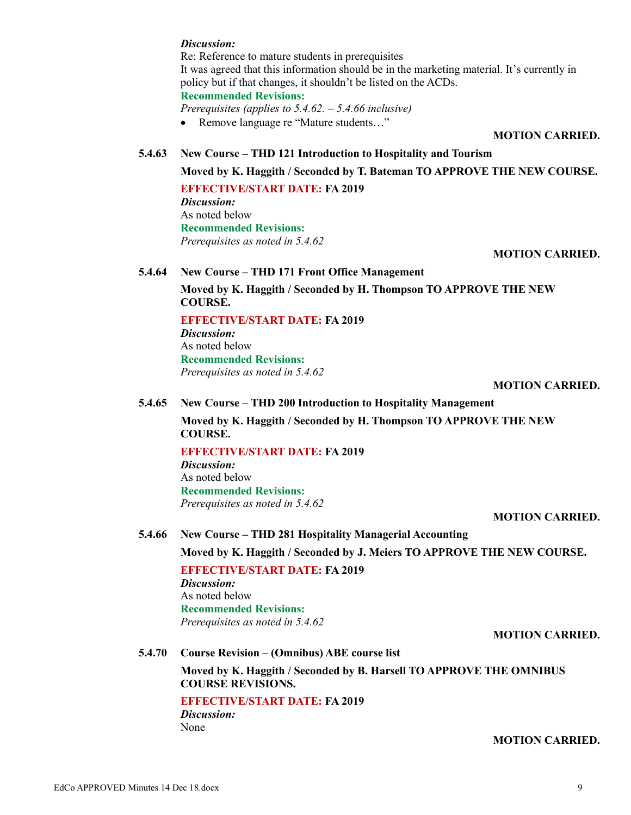#### *Discussion:*

Re: Reference to mature students in prerequisites It was agreed that this information should be in the marketing material. It's currently in policy but if that changes, it shouldn't be listed on the ACDs. **Recommended Revisions:**

*Prerequisites (applies to 5.4.62. – 5.4.66 inclusive)*

• Remove language re "Mature students..."

#### **MOTION CARRIED.**

#### **5.4.63 New Course – THD 121 Introduction to Hospitality and Tourism**

**Moved by K. Haggith / Seconded by T. Bateman TO APPROVE THE NEW COURSE.**

# **EFFECTIVE/START DATE: FA 2019**

*Discussion:* As noted below **Recommended Revisions:** *Prerequisites as noted in 5.4.62*

# **MOTION CARRIED.**

#### **5.4.64 New Course – THD 171 Front Office Management**

**Moved by K. Haggith / Seconded by H. Thompson TO APPROVE THE NEW COURSE.**

#### **EFFECTIVE/START DATE: FA 2019**

*Discussion:* As noted below **Recommended Revisions:** *Prerequisites as noted in 5.4.62*

#### **MOTION CARRIED.**

#### **5.4.65 New Course – THD 200 Introduction to Hospitality Management**

**Moved by K. Haggith / Seconded by H. Thompson TO APPROVE THE NEW COURSE.**

#### **EFFECTIVE/START DATE: FA 2019**

*Discussion:* As noted below **Recommended Revisions:** *Prerequisites as noted in 5.4.62*

#### **MOTION CARRIED.**

**5.4.66 New Course – THD 281 Hospitality Managerial Accounting Moved by K. Haggith / Seconded by J. Meiers TO APPROVE THE NEW COURSE.**

**EFFECTIVE/START DATE: FA 2019** *Discussion:* As noted below **Recommended Revisions:** *Prerequisites as noted in 5.4.62*

# **MOTION CARRIED.**

**5.4.70 Course Revision – (Omnibus) ABE course list**

**Moved by K. Haggith / Seconded by B. Harsell TO APPROVE THE OMNIBUS COURSE REVISIONS.**

# **EFFECTIVE/START DATE: FA 2019**

*Discussion:* None

#### **MOTION CARRIED.**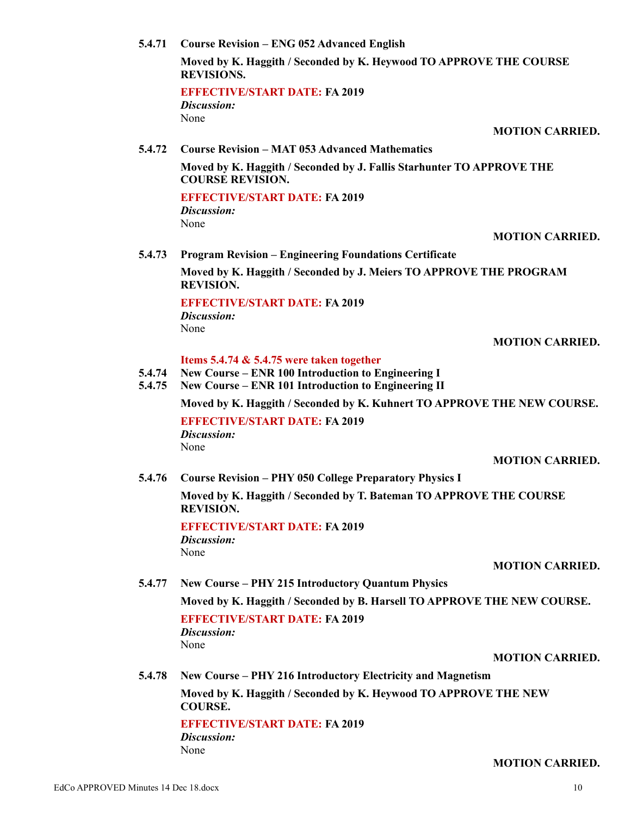EdCo APPROVED Minutes 14 Dec 18.docx 10

**5.4.71 Course Revision – ENG 052 Advanced English**

**Moved by K. Haggith / Seconded by K. Heywood TO APPROVE THE COURSE REVISIONS.**

**EFFECTIVE/START DATE: FA 2019** *Discussion:* None

**MOTION CARRIED.**

**5.4.72 Course Revision – MAT 053 Advanced Mathematics**

**Moved by K. Haggith / Seconded by J. Fallis Starhunter TO APPROVE THE COURSE REVISION.**

**EFFECTIVE/START DATE: FA 2019** *Discussion:*

None

#### **MOTION CARRIED.**

**5.4.73 Program Revision – Engineering Foundations Certificate**

**Moved by K. Haggith / Seconded by J. Meiers TO APPROVE THE PROGRAM REVISION.**

# **EFFECTIVE/START DATE: FA 2019**

*Discussion:* None

#### **MOTION CARRIED.**

# **Items 5.4.74 & 5.4.75 were taken together**

- **5.4.74 New Course – ENR 100 Introduction to Engineering I**
- **5.4.75 New Course – ENR 101 Introduction to Engineering II**

**Moved by K. Haggith / Seconded by K. Kuhnert TO APPROVE THE NEW COURSE.**

**EFFECTIVE/START DATE: FA 2019** *Discussion:* None

#### **MOTION CARRIED.**

**5.4.76 Course Revision – PHY 050 College Preparatory Physics I**

**Moved by K. Haggith / Seconded by T. Bateman TO APPROVE THE COURSE REVISION.**

**EFFECTIVE/START DATE: FA 2019** *Discussion:* None

#### **MOTION CARRIED.**

# **5.4.77 New Course – PHY 215 Introductory Quantum Physics**

**Moved by K. Haggith / Seconded by B. Harsell TO APPROVE THE NEW COURSE.**

**EFFECTIVE/START DATE: FA 2019** *Discussion:* None

#### **MOTION CARRIED.**

**MOTION CARRIED.**

**5.4.78 New Course – PHY 216 Introductory Electricity and Magnetism**

**Moved by K. Haggith / Seconded by K. Heywood TO APPROVE THE NEW COURSE.**

**EFFECTIVE/START DATE: FA 2019**

*Discussion:*